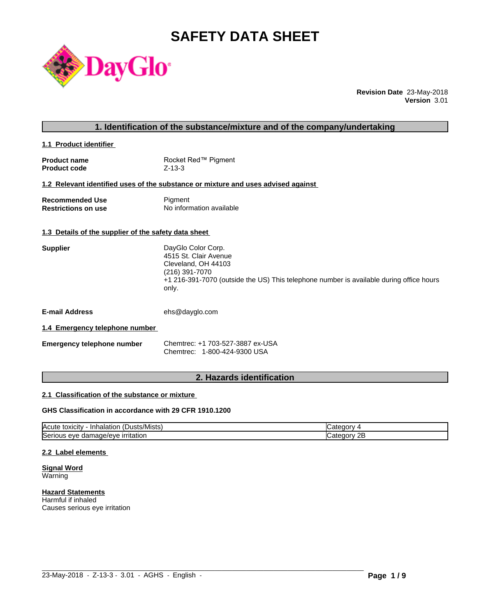# **SAFETY DATA SHEET**



**Revision Date** 23-May-2018 **Version** 3.01

| 1. Identification of the substance/mixture and of the company/undertaking |  |
|---------------------------------------------------------------------------|--|
|---------------------------------------------------------------------------|--|

**1.1 Product identifier** 

| <b>Product name</b> | Rocket Red™ Pigment |
|---------------------|---------------------|
| <b>Product code</b> | $Z - 13 - 3$        |

# **1.2 Relevant identified uses of the substance or mixture and uses advised against**

| <b>Recommended Use</b>     | Pigment                  |
|----------------------------|--------------------------|
| <b>Restrictions on use</b> | No information available |

## **1.3 Details of the supplier of the safety data sheet**

| DayGlo Color Corp.                                                                               |
|--------------------------------------------------------------------------------------------------|
| 4515 St. Clair Avenue                                                                            |
| Cleveland, OH 44103                                                                              |
| (216) 391-7070                                                                                   |
| +1 216-391-7070 (outside the US) This telephone number is available during office hours<br>only. |
|                                                                                                  |
|                                                                                                  |

**E-mail Address** ehs@dayglo.com

# **1.4 Emergency telephone number**

**Emergency telephone number** Chemtrec: +1 703-527-3887 ex-USA Chemtrec: 1-800-424-9300 USA

# **2. Hazards identification**

# **2.1 Classification of the substance or mixture**

# **GHS Classification in accordance with 29 CFR 1910.1200**

| $\mathbf{r}$<br>Acute<br>.Dusts/Mists) .<br>· Inhalation<br>, toxicity     | עזרור                   |
|----------------------------------------------------------------------------|-------------------------|
| ∽<br>.nage/eve<br>irritation<br><b>ISeric</b><br>11 I C<br>eve<br>aar<br>. | റ⊏<br>עזנונו<br>45<br>. |

 $\_$  ,  $\_$  ,  $\_$  ,  $\_$  ,  $\_$  ,  $\_$  ,  $\_$  ,  $\_$  ,  $\_$  ,  $\_$  ,  $\_$  ,  $\_$  ,  $\_$  ,  $\_$  ,  $\_$  ,  $\_$  ,  $\_$  ,  $\_$  ,  $\_$  ,  $\_$  ,  $\_$  ,  $\_$  ,  $\_$  ,  $\_$  ,  $\_$  ,  $\_$  ,  $\_$  ,  $\_$  ,  $\_$  ,  $\_$  ,  $\_$  ,  $\_$  ,  $\_$  ,  $\_$  ,  $\_$  ,  $\_$  ,  $\_$  ,

#### **2.2 Label elements**

**Signal Word** Warning

**Hazard Statements** Harmful if inhaled Causes serious eye irritation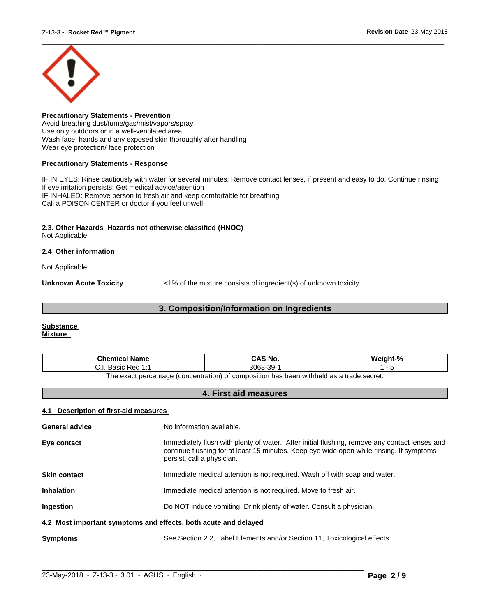

**Precautionary Statements - Prevention** Avoid breathing dust/fume/gas/mist/vapors/spray Use only outdoors or in a well-ventilated area Wash face, hands and any exposed skin thoroughly after handling Wear eye protection/ face protection

### **Precautionary Statements - Response**

IF IN EYES: Rinse cautiously with water for several minutes. Remove contact lenses, if present and easy to do. Continue rinsing If eye irritation persists: Get medical advice/attention IF INHALED: Remove person to fresh air and keep comfortable for breathing Call a POISON CENTER or doctor if you feel unwell

# **2.3. Other Hazards Hazards not otherwise classified (HNOC)**

Not Applicable

# **2.4 Other information**

Not Applicable

**Unknown Acute Toxicity**  $\langle 1\%$  of the mixture consists of ingredient(s) of unknown toxicity

# **3. Composition/Information on Ingredients**

#### **Substance Mixture**

| Chemical<br>∣ Name                                                                      | `S No.<br>CA. | $\mathbf{a}$ |  |
|-----------------------------------------------------------------------------------------|---------------|--------------|--|
| 3068<br>$\sim$<br><b>Dod 1.4</b><br>20010<br>99-<br>n sa<br>ن.<br>Dasit<br>ີ<br>.       |               |              |  |
| The exact perceptage (conceptration) of compecition has been withhold as a trade secret |               |              |  |

The exact percentage (concentration) of composition has been withheld as a trade secret.

# **4. First aid measures**

# **4.1 Description of first-aid measures**

| <b>General advice</b>                                           | No information available.                                                                                                                                                                                               |  |  |
|-----------------------------------------------------------------|-------------------------------------------------------------------------------------------------------------------------------------------------------------------------------------------------------------------------|--|--|
| Eye contact                                                     | Immediately flush with plenty of water. After initial flushing, remove any contact lenses and<br>continue flushing for at least 15 minutes. Keep eye wide open while rinsing. If symptoms<br>persist, call a physician. |  |  |
| <b>Skin contact</b>                                             | Immediate medical attention is not required. Wash off with soap and water.                                                                                                                                              |  |  |
| <b>Inhalation</b>                                               | Immediate medical attention is not required. Move to fresh air.                                                                                                                                                         |  |  |
| Ingestion                                                       | Do NOT induce vomiting. Drink plenty of water. Consult a physician.                                                                                                                                                     |  |  |
| 4.2 Most important symptoms and effects, both acute and delayed |                                                                                                                                                                                                                         |  |  |
| <b>Symptoms</b>                                                 | See Section 2.2, Label Elements and/or Section 11, Toxicological effects.                                                                                                                                               |  |  |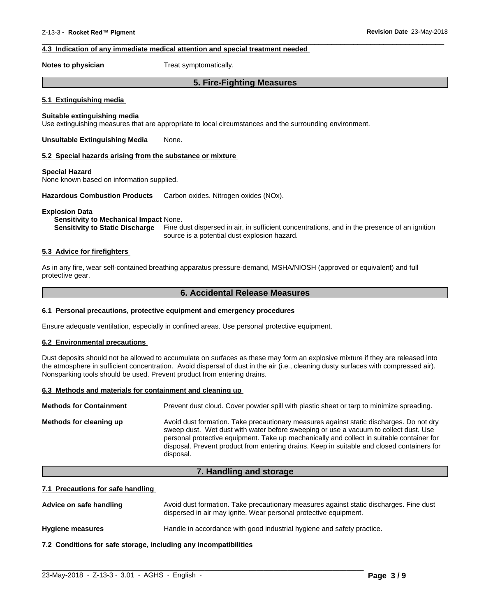# **4.3 Indication of any immediate medical attention and special treatment needed**

**Notes to physician** Treat symptomatically.

# **5. Fire-Fighting Measures**

 $\overline{\phantom{a}}$  ,  $\overline{\phantom{a}}$  ,  $\overline{\phantom{a}}$  ,  $\overline{\phantom{a}}$  ,  $\overline{\phantom{a}}$  ,  $\overline{\phantom{a}}$  ,  $\overline{\phantom{a}}$  ,  $\overline{\phantom{a}}$  ,  $\overline{\phantom{a}}$  ,  $\overline{\phantom{a}}$  ,  $\overline{\phantom{a}}$  ,  $\overline{\phantom{a}}$  ,  $\overline{\phantom{a}}$  ,  $\overline{\phantom{a}}$  ,  $\overline{\phantom{a}}$  ,  $\overline{\phantom{a}}$ 

#### **5.1 Extinguishing media**

### **Suitable extinguishing media**

Use extinguishing measures that are appropriate to local circumstances and the surrounding environment.

**Unsuitable Extinguishing Media** None.

#### **5.2 Special hazards arising from the substance or mixture**

#### **Special Hazard**

None known based on information supplied.

**Hazardous Combustion Products** Carbon oxides. Nitrogen oxides (NOx).

#### **Explosion Data**

### **Sensitivity to Mechanical Impact** None.

**Sensitivity to Static Discharge** Fine dust dispersed in air, in sufficient concentrations, and in the presence of an ignition source is a potential dust explosion hazard.

# **5.3 Advice for firefighters**

As in any fire, wear self-contained breathing apparatus pressure-demand, MSHA/NIOSH (approved or equivalent) and full protective gear.

# **6. Accidental Release Measures**

#### **6.1 Personal precautions, protective equipment and emergency procedures**

Ensure adequate ventilation, especially in confined areas. Use personal protective equipment.

# **6.2 Environmental precautions**

Dust deposits should not be allowed to accumulate on surfaces as these may form an explosive mixture if they are released into the atmosphere in sufficient concentration. Avoid dispersal of dust in the air (i.e., cleaning dusty surfaces with compressed air). Nonsparking tools should be used. Prevent product from entering drains.

#### **6.3 Methods and materials for containment and cleaning up**

| <b>Methods for Containment</b> | Prevent dust cloud. Cover powder spill with plastic sheet or tarp to minimize spreading.                                                                                                                                                                                                                                                                                                |
|--------------------------------|-----------------------------------------------------------------------------------------------------------------------------------------------------------------------------------------------------------------------------------------------------------------------------------------------------------------------------------------------------------------------------------------|
| Methods for cleaning up        | Avoid dust formation. Take precautionary measures against static discharges. Do not dry<br>sweep dust. Wet dust with water before sweeping or use a vacuum to collect dust. Use<br>personal protective equipment. Take up mechanically and collect in suitable container for<br>disposal. Prevent product from entering drains. Keep in suitable and closed containers for<br>disposal. |

# **7. Handling and storage**

#### **7.1 Precautions for safe handling**

Advice on safe handling **Avoid dust formation. Take precautionary measures against static discharges. Fine dust** dispersed in air may ignite. Wear personal protective equipment.

 $\_$  ,  $\_$  ,  $\_$  ,  $\_$  ,  $\_$  ,  $\_$  ,  $\_$  ,  $\_$  ,  $\_$  ,  $\_$  ,  $\_$  ,  $\_$  ,  $\_$  ,  $\_$  ,  $\_$  ,  $\_$  ,  $\_$  ,  $\_$  ,  $\_$  ,  $\_$  ,  $\_$  ,  $\_$  ,  $\_$  ,  $\_$  ,  $\_$  ,  $\_$  ,  $\_$  ,  $\_$  ,  $\_$  ,  $\_$  ,  $\_$  ,  $\_$  ,  $\_$  ,  $\_$  ,  $\_$  ,  $\_$  ,  $\_$  ,

**Hygiene measures** Handle in accordance with good industrial hygiene and safety practice.

**7.2 Conditions for safe storage, including any incompatibilities**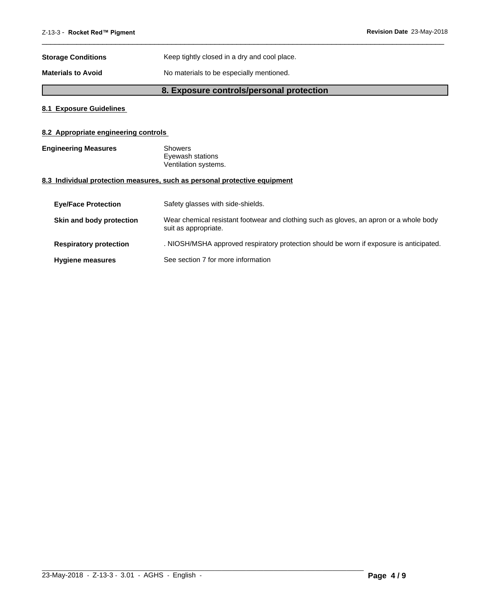| <b>Storage Conditions</b> | Keep tightly closed in a dry and cool place. |
|---------------------------|----------------------------------------------|
| <b>Materials to Avoid</b> | No materials to be especially mentioned.     |

# **8. Exposure controls/personal protection**

 $\overline{\phantom{a}}$  ,  $\overline{\phantom{a}}$  ,  $\overline{\phantom{a}}$  ,  $\overline{\phantom{a}}$  ,  $\overline{\phantom{a}}$  ,  $\overline{\phantom{a}}$  ,  $\overline{\phantom{a}}$  ,  $\overline{\phantom{a}}$  ,  $\overline{\phantom{a}}$  ,  $\overline{\phantom{a}}$  ,  $\overline{\phantom{a}}$  ,  $\overline{\phantom{a}}$  ,  $\overline{\phantom{a}}$  ,  $\overline{\phantom{a}}$  ,  $\overline{\phantom{a}}$  ,  $\overline{\phantom{a}}$ 

# **8.1 Exposure Guidelines**

# **8.2 Appropriate engineering controls**

| <b>Engineering Measures</b> | Showers              |  |
|-----------------------------|----------------------|--|
|                             | Eyewash stations     |  |
|                             | Ventilation systems. |  |

# **8.3 Individual protection measures, such as personal protective equipment**

| <b>Eve/Face Protection</b>    | Safety glasses with side-shields.                                                                              |
|-------------------------------|----------------------------------------------------------------------------------------------------------------|
| Skin and body protection      | Wear chemical resistant footwear and clothing such as gloves, an apron or a whole body<br>suit as appropriate. |
| <b>Respiratory protection</b> | . NIOSH/MSHA approved respiratory protection should be worn if exposure is anticipated.                        |
| <b>Hygiene measures</b>       | See section 7 for more information                                                                             |

 $\_$  ,  $\_$  ,  $\_$  ,  $\_$  ,  $\_$  ,  $\_$  ,  $\_$  ,  $\_$  ,  $\_$  ,  $\_$  ,  $\_$  ,  $\_$  ,  $\_$  ,  $\_$  ,  $\_$  ,  $\_$  ,  $\_$  ,  $\_$  ,  $\_$  ,  $\_$  ,  $\_$  ,  $\_$  ,  $\_$  ,  $\_$  ,  $\_$  ,  $\_$  ,  $\_$  ,  $\_$  ,  $\_$  ,  $\_$  ,  $\_$  ,  $\_$  ,  $\_$  ,  $\_$  ,  $\_$  ,  $\_$  ,  $\_$  ,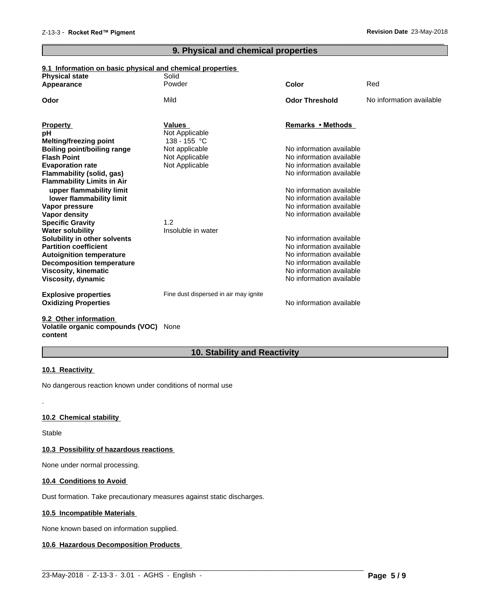# **9. Physical and chemical properties**

 $\overline{\phantom{a}}$  ,  $\overline{\phantom{a}}$  ,  $\overline{\phantom{a}}$  ,  $\overline{\phantom{a}}$  ,  $\overline{\phantom{a}}$  ,  $\overline{\phantom{a}}$  ,  $\overline{\phantom{a}}$  ,  $\overline{\phantom{a}}$  ,  $\overline{\phantom{a}}$  ,  $\overline{\phantom{a}}$  ,  $\overline{\phantom{a}}$  ,  $\overline{\phantom{a}}$  ,  $\overline{\phantom{a}}$  ,  $\overline{\phantom{a}}$  ,  $\overline{\phantom{a}}$  ,  $\overline{\phantom{a}}$ 

# **9.1 Information on basic physical and chemical properties**

| <b>Physical state</b><br>Appearance                                 | Solid<br>Powder                       | <b>Color</b>                                         | Red                      |
|---------------------------------------------------------------------|---------------------------------------|------------------------------------------------------|--------------------------|
|                                                                     |                                       |                                                      |                          |
| Odor                                                                | Mild                                  | <b>Odor Threshold</b>                                | No information available |
|                                                                     |                                       |                                                      |                          |
| <b>Property</b>                                                     | <b>Values</b>                         | Remarks • Methods                                    |                          |
| рH                                                                  | Not Applicable<br>138 - 155 °C        |                                                      |                          |
| <b>Melting/freezing point</b><br><b>Boiling point/boiling range</b> | Not applicable                        | No information available                             |                          |
| <b>Flash Point</b>                                                  | Not Applicable                        | No information available                             |                          |
| <b>Evaporation rate</b>                                             | Not Applicable                        | No information available                             |                          |
| Flammability (solid, gas)                                           |                                       | No information available                             |                          |
| <b>Flammability Limits in Air</b>                                   |                                       |                                                      |                          |
| upper flammability limit                                            |                                       | No information available                             |                          |
| lower flammability limit                                            |                                       | No information available                             |                          |
| Vapor pressure                                                      |                                       | No information available                             |                          |
| Vapor density                                                       |                                       | No information available                             |                          |
| <b>Specific Gravity</b>                                             | 1.2                                   |                                                      |                          |
| <b>Water solubility</b>                                             | Insoluble in water                    |                                                      |                          |
| Solubility in other solvents                                        |                                       | No information available                             |                          |
| <b>Partition coefficient</b>                                        |                                       | No information available                             |                          |
| <b>Autoignition temperature</b>                                     |                                       | No information available                             |                          |
| <b>Decomposition temperature</b>                                    |                                       | No information available                             |                          |
| <b>Viscosity, kinematic</b>                                         |                                       | No information available<br>No information available |                          |
| Viscosity, dynamic                                                  |                                       |                                                      |                          |
| <b>Explosive properties</b>                                         | Fine dust dispersed in air may ignite |                                                      |                          |
| <b>Oxidizing Properties</b>                                         |                                       | No information available                             |                          |
|                                                                     |                                       |                                                      |                          |
| 0.2. Other information                                              |                                       |                                                      |                          |

#### **9.2 Other information Volatile organic compounds (VOC)** None **content**

# **10. Stability and Reactivity**

 $\_$  ,  $\_$  ,  $\_$  ,  $\_$  ,  $\_$  ,  $\_$  ,  $\_$  ,  $\_$  ,  $\_$  ,  $\_$  ,  $\_$  ,  $\_$  ,  $\_$  ,  $\_$  ,  $\_$  ,  $\_$  ,  $\_$  ,  $\_$  ,  $\_$  ,  $\_$  ,  $\_$  ,  $\_$  ,  $\_$  ,  $\_$  ,  $\_$  ,  $\_$  ,  $\_$  ,  $\_$  ,  $\_$  ,  $\_$  ,  $\_$  ,  $\_$  ,  $\_$  ,  $\_$  ,  $\_$  ,  $\_$  ,  $\_$  ,

### **10.1 Reactivity**

No dangerous reaction known under conditions of normal use

# **10.2 Chemical stability**

Stable

.

#### **10.3 Possibility of hazardous reactions**

None under normal processing.

# **10.4 Conditions to Avoid**

Dust formation. Take precautionary measures against static discharges.

# **10.5 Incompatible Materials**

None known based on information supplied.

# **10.6 Hazardous Decomposition Products**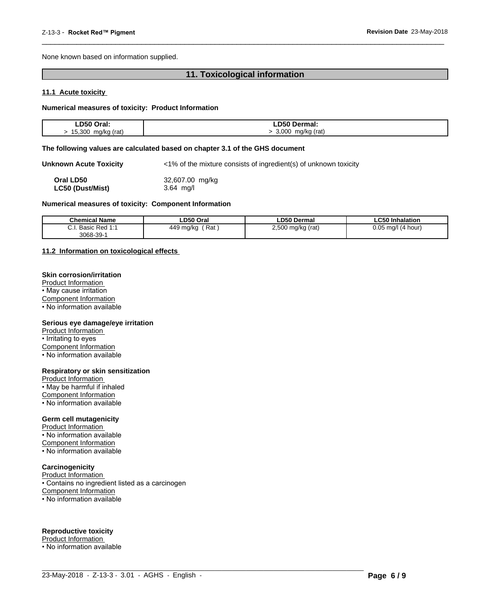None known based on information supplied.

# **11. Toxicological information**

 $\overline{\phantom{a}}$  ,  $\overline{\phantom{a}}$  ,  $\overline{\phantom{a}}$  ,  $\overline{\phantom{a}}$  ,  $\overline{\phantom{a}}$  ,  $\overline{\phantom{a}}$  ,  $\overline{\phantom{a}}$  ,  $\overline{\phantom{a}}$  ,  $\overline{\phantom{a}}$  ,  $\overline{\phantom{a}}$  ,  $\overline{\phantom{a}}$  ,  $\overline{\phantom{a}}$  ,  $\overline{\phantom{a}}$  ,  $\overline{\phantom{a}}$  ,  $\overline{\phantom{a}}$  ,  $\overline{\phantom{a}}$ 

# **11.1 Acute toxicity**

#### **Numerical measures of toxicity: Product Information**

| LD50 Oral:            | ∟D50 Dermal:                    |
|-----------------------|---------------------------------|
| 15,300<br>mg/kg (rat) | 3,000<br>mg/kg (rat)<br>$\cdot$ |

#### **The following values are calculated based on chapter 3.1 of the GHS document**

**Unknown Acute Toxicity** <1% of the mixture consists of ingredient(s) of unknown toxicity

| Oral LD50               | 32,607.00 mg/kg |
|-------------------------|-----------------|
| <b>LC50 (Dust/Mist)</b> | $3.64$ mg/l     |

#### **Numerical measures of toxicity: Component Information**

| <b>Chemical Name</b>                                     | LD50 Oral            | <b>LD50 Dermal</b>        | <b>LC50 Inhalation</b>   |
|----------------------------------------------------------|----------------------|---------------------------|--------------------------|
| Basic<br><b>__</b><br><b>Dod 1.1</b><br>76U.<br>u.i<br>. | 449<br>Rat<br>⊧mg/kg | 2,500<br>(rat)<br>mg/kg ( | 0.05<br>(4 hour)<br>ma/l |
| 3068-39-                                                 |                      |                           |                          |

 $\_$  ,  $\_$  ,  $\_$  ,  $\_$  ,  $\_$  ,  $\_$  ,  $\_$  ,  $\_$  ,  $\_$  ,  $\_$  ,  $\_$  ,  $\_$  ,  $\_$  ,  $\_$  ,  $\_$  ,  $\_$  ,  $\_$  ,  $\_$  ,  $\_$  ,  $\_$  ,  $\_$  ,  $\_$  ,  $\_$  ,  $\_$  ,  $\_$  ,  $\_$  ,  $\_$  ,  $\_$  ,  $\_$  ,  $\_$  ,  $\_$  ,  $\_$  ,  $\_$  ,  $\_$  ,  $\_$  ,  $\_$  ,  $\_$  ,

#### **11.2 Information on toxicologicaleffects**

# **Skin corrosion/irritation**

Product Information • May cause irritation Component Information • No information available

#### **Serious eye damage/eye irritation**

Product Information • Irritating to eyes

Component Information

• No information available

#### **Respiratory or skin sensitization**

Product Information  $\overline{\cdot}$  May be harmful if inhaled

Component Information

• No information available

# **Germ cell mutagenicity**

Product Information • No information available Component Information • No information available

# **Carcinogenicity**

Product Information • Contains no ingredient listed as a carcinogen Component Information • No information available

# **Reproductive toxicity**

Product Information • No information available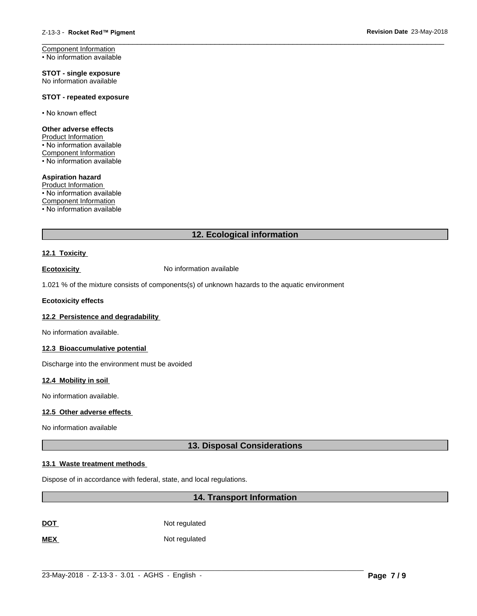Component Information • No information available

**STOT - single exposure** No information available

# **STOT - repeated exposure**

• No known effect

# **Other adverse effects**

Product Information • No information available Component Information

• No information available

### **Aspiration hazard**

Product Information • No information available Component Information

• No information available

# **12. Ecological information**

 $\overline{\phantom{a}}$  ,  $\overline{\phantom{a}}$  ,  $\overline{\phantom{a}}$  ,  $\overline{\phantom{a}}$  ,  $\overline{\phantom{a}}$  ,  $\overline{\phantom{a}}$  ,  $\overline{\phantom{a}}$  ,  $\overline{\phantom{a}}$  ,  $\overline{\phantom{a}}$  ,  $\overline{\phantom{a}}$  ,  $\overline{\phantom{a}}$  ,  $\overline{\phantom{a}}$  ,  $\overline{\phantom{a}}$  ,  $\overline{\phantom{a}}$  ,  $\overline{\phantom{a}}$  ,  $\overline{\phantom{a}}$ 

# **12.1 Toxicity**

**Ecotoxicity No information available** 

1.021 % of the mixture consists of components(s) of unknown hazards to the aquatic environment

# **Ecotoxicity effects**

# **12.2 Persistence and degradability**

No information available.

# **12.3 Bioaccumulative potential**

Discharge into the environment must be avoided

# **12.4 Mobility in soil**

No information available.

# **12.5 Other adverse effects**

No information available

# **13. Disposal Considerations**

# **13.1 Waste treatment methods**

Dispose of in accordance with federal, state, and local regulations.

# **14. Transport Information**

**DOT** Not regulated

**MEX** Not regulated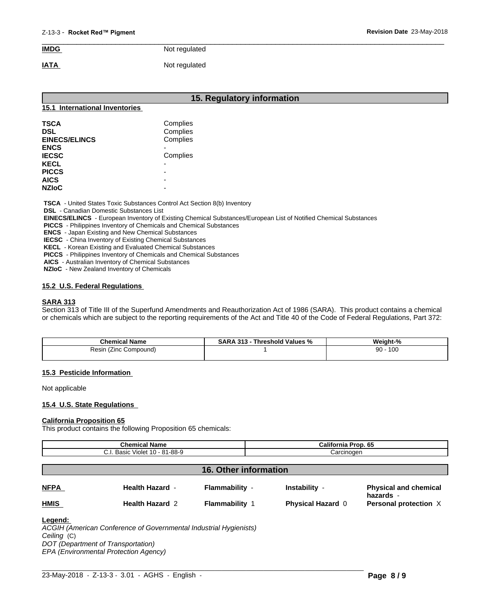# $\overline{\phantom{a}}$  ,  $\overline{\phantom{a}}$  ,  $\overline{\phantom{a}}$  ,  $\overline{\phantom{a}}$  ,  $\overline{\phantom{a}}$  ,  $\overline{\phantom{a}}$  ,  $\overline{\phantom{a}}$  ,  $\overline{\phantom{a}}$  ,  $\overline{\phantom{a}}$  ,  $\overline{\phantom{a}}$  ,  $\overline{\phantom{a}}$  ,  $\overline{\phantom{a}}$  ,  $\overline{\phantom{a}}$  ,  $\overline{\phantom{a}}$  ,  $\overline{\phantom{a}}$  ,  $\overline{\phantom{a}}$ **IMDG** Not regulated **IATA** Not regulated

|                                | 15. Regulatory information |  |
|--------------------------------|----------------------------|--|
| 15.1 International Inventories |                            |  |
| <b>TSCA</b>                    | Complies                   |  |
| <b>DSL</b>                     | Complies                   |  |
| <b>EINECS/ELINCS</b>           | Complies                   |  |
| <b>ENCS</b>                    | $\blacksquare$             |  |
| <b>IECSC</b>                   | Complies                   |  |
| <b>KECL</b>                    | $\overline{\phantom{0}}$   |  |
| <b>PICCS</b>                   | $\overline{\phantom{0}}$   |  |
| <b>AICS</b>                    | $\overline{\phantom{0}}$   |  |
| <b>NZIoC</b>                   | $\overline{\phantom{0}}$   |  |

 **TSCA** - United States Toxic Substances Control Act Section 8(b) Inventory

 **DSL** - Canadian Domestic Substances List

 **EINECS/ELINCS** - European Inventory of Existing Chemical Substances/European List of Notified Chemical Substances

 **PICCS** - Philippines Inventory of Chemicals and Chemical Substances

 **ENCS** - Japan Existing and New Chemical Substances

 **IECSC** - China Inventory of Existing Chemical Substances

 **KECL** - Korean Existing and Evaluated Chemical Substances

 **PICCS** - Philippines Inventory of Chemicals and Chemical Substances

 **AICS** - Australian Inventory of Chemical Substances

 **NZIoC** - New Zealand Inventory of Chemicals

# **15.2 U.S. Federal Regulations**

# **SARA 313**

Section 313 of Title III of the Superfund Amendments and Reauthorization Act of 1986 (SARA). This product contains a chemical or chemicals which are subject to the reporting requirements of the Act and Title 40 of the Code of Federal Regulations, Part 372:

| <b>Chemical Name</b>        | . 313<br>Threshold<br>⊺Values<br>D A<br><b>SARA</b><br>-70 | Weight-%  |
|-----------------------------|------------------------------------------------------------|-----------|
| Compound)<br>≺esın<br>(∠inc |                                                            | 100<br>90 |
|                             |                                                            |           |

# **15.3 Pesticide Information**

Not applicable

# **15.4 U.S. State Regulations**

#### **California Proposition 65**

This product contains the following Proposition 65 chemicals:

| <b>Chemical Name</b><br>C.I. Basic Violet 10 - 81-88-9 |                        |                              | California Prop. 65<br>Carcinogen |                                           |
|--------------------------------------------------------|------------------------|------------------------------|-----------------------------------|-------------------------------------------|
|                                                        |                        |                              |                                   |                                           |
|                                                        |                        |                              |                                   |                                           |
|                                                        |                        | <b>16. Other information</b> |                                   |                                           |
| <b>NFPA</b>                                            | <b>Health Hazard -</b> | Flammability -               | Instability -                     | <b>Physical and chemical</b><br>hazards - |
| <b>HMIS</b>                                            | <b>Health Hazard 2</b> | <b>Flammability 1</b>        | <b>Physical Hazard 0</b>          | Personal protection X                     |
| $l$ cosad:                                             |                        |                              |                                   |                                           |

#### **Legend:**

*ACGIH (American Conference of Governmental Industrial Hygienists) Ceiling* (C) *DOT (Department of Transportation) EPA (Environmental Protection Agency)*